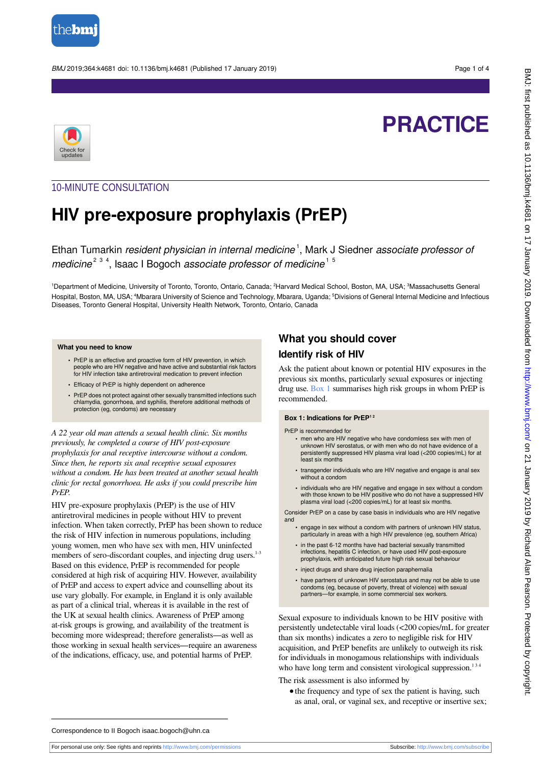

BMJ 2019;364:k4681 doi: 10.1136/bmj.k4681 (Published 17 January 2019) Page 1 of 4



# **PRACTICE**

## 10-MINUTE CONSULTATION

## **HIV pre-exposure prophylaxis (PrEP)**

Ethan Tumarkin resident physician in internal medicine<sup>1</sup>, Mark J Siedner associate professor of medicine<sup>2 3 4</sup>, Isaac I Bogoch associate professor of medicine<sup>15</sup>

<sup>1</sup>Department of Medicine, University of Toronto, Toronto, Ontario, Canada; <sup>2</sup>Harvard Medical School, Boston, MA, USA; <sup>3</sup>Massachusetts General Hospital, Boston, MA, USA; <sup>4</sup>Mbarara University of Science and Technology, Mbarara, Uganda; <sup>5</sup>Divisions of General Internal Medicine and Infectious Diseases, Toronto General Hospital, University Health Network, Toronto, Ontario, Canada

#### **What you need to know**

- **•** PrEP is an effective and proactive form of HIV prevention, in which people who are HIV negative and have active and substantial risk factors for HIV infection take antiretroviral medication to prevent infection
- **•** Efficacy of PrEP is highly dependent on adherence
- **•** PrEP does not protect against other sexually transmitted infections such chlamydia, gonorrhoea, and syphilis, therefore additional methods of protection (eg, condoms) are necessary

*A 22 year old man attends a sexual health clinic. Six months previously, he completed a course of HIV post-exposure prophylaxis for anal receptive intercourse without a condom. Since then, he reports six anal receptive sexual exposures without a condom. He has been treated at another sexual health clinic for rectal gonorrhoea. He asks if you could prescribe him PrEP.*

HIV pre-exposure prophylaxis (PrEP) is the use of HIV antiretroviral medicines in people without HIV to prevent infection. When taken correctly, PrEP has been shown to reduce the risk of HIV infection in numerous populations, including young women, men who have sex with men, HIV uninfected members of sero-discordant couples, and injecting drug users.<sup>1-3</sup> Based on this evidence, PrEP is recommended for people considered at high risk of acquiring HIV. However, availability of PrEP and access to expert advice and counselling about its use vary globally. For example, in England it is only available as part of a clinical trial, whereas it is available in the rest of the UK at sexual health clinics. Awareness of PrEP among at-risk groups is growing, and availability of the treatment is becoming more widespread; therefore generalists—as well as those working in sexual health services—require an awareness of the indications, efficacy, use, and potential harms of PrEP.

## **What you should cover Identify risk of HIV**

<span id="page-0-0"></span>Ask the patient about known or potential HIV exposures in the previous six months, particularly sexual exposures or injecting drug use. [Box 1](#page-0-0) summarises high risk groups in whom PrEP is recommended.

#### **Box 1: Indications for PrEP1 2**

PrEP is recommended for

- **•** men who are HIV negative who have condomless sex with men of unknown HIV serostatus, or with men who do not have evidence of a persistently suppressed HIV plasma viral load (<200 copies/mL) for at least six months
- **•** transgender individuals who are HIV negative and engage is anal sex without a condom
- **•** individuals who are HIV negative and engage in sex without a condom with those known to be HIV positive who do not have a suppressed HIV plasma viral load (<200 copies/mL) for at least six months.

Consider PrEP on a case by case basis in individuals who are HIV negative and

- **•** engage in sex without a condom with partners of unknown HIV status, particularly in areas with a high HIV prevalence (eg, southern Africa)
- **•** in the past 6-12 months have had bacterial sexually transmitted infections, hepatitis C infection, or have used HIV post-exposure prophylaxis, with anticipated future high risk sexual behaviour
- **•** inject drugs and share drug injection paraphernalia
- **•** have partners of unknown HIV serostatus and may not be able to use condoms (eg, because of poverty, threat of violence) with sexual partners—for example, in some commercial sex workers.

Sexual exposure to individuals known to be HIV positive with persistently undetectable viral loads (<200 copies/mL for greater than six months) indicates a zero to negligible risk for HIV acquisition, and PrEP benefits are unlikely to outweigh its risk for individuals in monogamous relationships with individuals who have long term and consistent virological suppression. $13$ 

The risk assessment is also informed by

**•**the frequency and type of sex the patient is having, such as anal, oral, or vaginal sex, and receptive or insertive sex;

Correspondence to II Bogoch isaac.bogoch@uhn.ca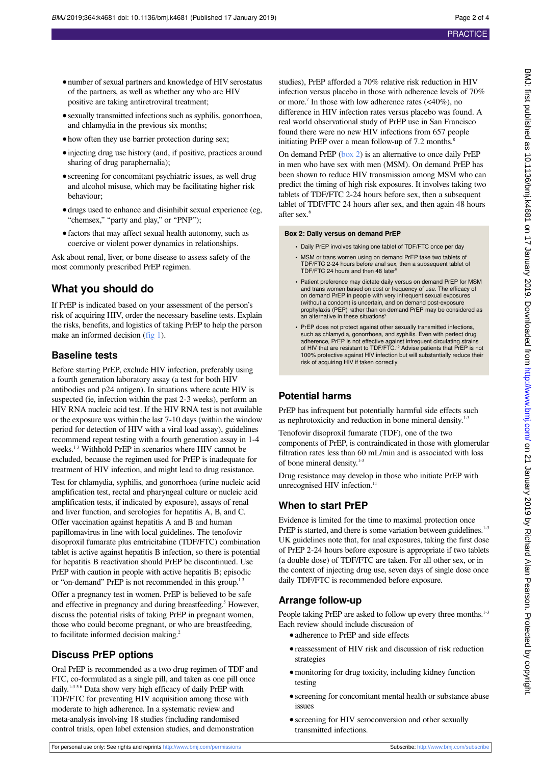- number of sexual partners and knowledge of HIV serostatus of the partners, as well as whether any who are HIV positive are taking antiretroviral treatment;
- **•**sexually transmitted infections such as syphilis, gonorrhoea, and chlamydia in the previous six months;
- **•**how often they use barrier protection during sex;
- **•**injecting drug use history (and, if positive, practices around sharing of drug paraphernalia);
- **•**screening for concomitant psychiatric issues, as well drug and alcohol misuse, which may be facilitating higher risk behaviour;
- **•**drugs used to enhance and disinhibit sexual experience (eg, "chemsex," "party and play," or "PNP");
- **•**factors that may affect sexual health autonomy, such as coercive or violent power dynamics in relationships.

Ask about renal, liver, or bone disease to assess safety of the most commonly prescribed PrEP regimen.

## **What you should do**

If PrEP is indicated based on your assessment of the person's risk of acquiring HIV, order the necessary baseline tests. Explain the risks, benefits, and logistics of taking PrEP to help the person make an informed decision [\(fig 1](#page-3-0)).

## **Baseline tests**

Before starting PrEP, exclude HIV infection, preferably using a fourth generation laboratory assay (a test for both HIV antibodies and p24 antigen). In situations where acute HIV is suspected (ie, infection within the past 2-3 weeks), perform an HIV RNA nucleic acid test. If the HIV RNA test is not available or the exposure was within the last 7-10 days (within the window period for detection of HIV with a viral load assay), guidelines recommend repeat testing with a fourth generation assay in 1-4 weeks.<sup>13</sup> Withhold PrEP in scenarios where HIV cannot be excluded, because the regimen used for PrEP is inadequate for treatment of HIV infection, and might lead to drug resistance.

Test for chlamydia, syphilis, and gonorrhoea (urine nucleic acid amplification test, rectal and pharyngeal culture or nucleic acid amplification tests, if indicated by exposure), assays of renal and liver function, and serologies for hepatitis A, B, and C. Offer vaccination against hepatitis A and B and human papillomavirus in line with local guidelines. The tenofovir disoproxil fumarate plus emtricitabine (TDF/FTC) combination tablet is active against hepatitis B infection, so there is potential for hepatitis B reactivation should PrEP be discontinued. Use PrEP with caution in people with active hepatitis B; episodic or "on-demand" PrEP is not recommended in this group.<sup>13</sup>

Offer a pregnancy test in women. PrEP is believed to be safe and effective in pregnancy and during breastfeeding.<sup>5</sup> However, discuss the potential risks of taking PrEP in pregnant women, those who could become pregnant, or who are breastfeeding, to facilitate informed decision making.<sup>2</sup>

## **Discuss PrEP options**

Oral PrEP is recommended as a two drug regimen of TDF and FTC, co-formulated as a single pill, and taken as one pill once daily.<sup>1-356</sup> Data show very high efficacy of daily PrEP with TDF/FTC for preventing HIV acquisition among those with moderate to high adherence. In a systematic review and meta-analysis involving 18 studies (including randomised control trials, open label extension studies, and demonstration

studies), PrEP afforded a 70% relative risk reduction in HIV infection versus placebo in those with adherence levels of 70% or more.<sup>7</sup> In those with low adherence rates  $(\leq 40\%)$ , no difference in HIV infection rates versus placebo was found. A real world observational study of PrEP use in San Francisco found there were no new HIV infections from 657 people initiating PrEP over a mean follow-up of 7.2 months.<sup>8</sup>

On demand PrEP ([box 2](#page-1-0)) is an alternative to once daily PrEP in men who have sex with men (MSM). On demand PrEP has been shown to reduce HIV transmission among MSM who can predict the timing of high risk exposures. It involves taking two tablets of TDF/FTC 2-24 hours before sex, then a subsequent tablet of TDF/FTC 24 hours after sex, and then again 48 hours after sex.<sup>6</sup>

#### <span id="page-1-0"></span>**Box 2: Daily versus on demand PrEP**

- **•** Daily PrEP involves taking one tablet of TDF/FTC once per day
- **•** MSM or trans women using on demand PrEP take two tablets of TDF/FTC 2-24 hours before anal sex, then a subsequent tablet of TDF/FTC 24 hours and then 48 later<sup>6</sup>
- **•** Patient preference may dictate daily versus on demand PrEP for MSM and trans women based on cost or frequency of use. The efficacy of on demand PrEP in people with very infrequent sexual exposures (without a condom) is uncertain, and on demand post-exposure prophylaxis (PEP) rather than on demand PrEP may be considered as an alternative in these situations<sup>9</sup>
- **•** PrEP does not protect against other sexually transmitted infections, such as chlamydia, gonorrhoea, and syphilis. Even with perfect drug adherence, PrEP is not effective against infrequent circulating strains<br>of HIV that are resistant to TDF/FTC.<sup>10</sup> Advise patients that PrEP is not 100% protective against HIV infection but will substantially reduce their risk of acquiring HIV if taken correctly

## **Potential harms**

PrEP has infrequent but potentially harmful side effects such as nephrotoxicity and reduction in bone mineral density.<sup>1-3</sup>

Tenofovir disoproxil fumarate (TDF), one of the two components of PrEP, is contraindicated in those with glomerular filtration rates less than 60 mL/min and is associated with loss of bone mineral density.<sup>1-3</sup>

Drug resistance may develop in those who initiate PrEP with unrecognised HIV infection.<sup>11</sup>

## **When to start PrEP**

Evidence is limited for the time to maximal protection once PrEP is started, and there is some variation between guidelines.<sup>1-3</sup> UK guidelines note that, for anal exposures, taking the first dose of PrEP 2-24 hours before exposure is appropriate if two tablets (a double dose) of TDF/FTC are taken. For all other sex, or in the context of injecting drug use, seven days of single dose once daily TDF/FTC is recommended before exposure.

## **Arrange follow-up**

People taking PrEP are asked to follow up every three months.<sup>1-3</sup> Each review should include discussion of

- adherence to PrEP and side effects
- **•**reassessment of HIV risk and discussion of risk reduction strategies
- **•**monitoring for drug toxicity, including kidney function testing
- **•**screening for concomitant mental health or substance abuse issues
- **•**screening for HIV seroconversion and other sexually transmitted infections.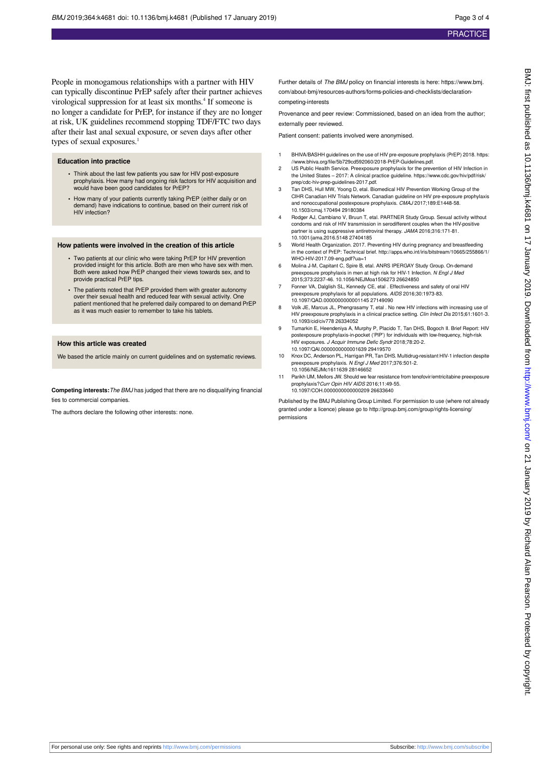People in monogamous relationships with a partner with HIV can typically discontinue PrEP safely after their partner achieves virological suppression for at least six months.<sup>4</sup> If someone is no longer a candidate for PrEP, for instance if they are no longer at risk, UK guidelines recommend stopping TDF/FTC two days after their last anal sexual exposure, or seven days after other types of sexual exposures.<sup>1</sup>

#### **Education into practice**

- **•** Think about the last few patients you saw for HIV post-exposure prophylaxis. How many had ongoing risk factors for HIV acquisition and would have been good candidates for PrEP?
- **•** How many of your patients currently taking PrEP (either daily or on demand) have indications to continue, based on their current risk of HIV infection?

#### **How patients were involved in the creation of this article**

- **•** Two patients at our clinic who were taking PrEP for HIV prevention provided insight for this article. Both are men who have sex with men. Both were asked how PrEP changed their views towards sex, and to provide practical PrEP tips.
- **•** The patients noted that PrEP provided them with greater autonomy over their sexual health and reduced fear with sexual activity. One patient mentioned that he preferred daily compared to on demand PrEP as it was much easier to remember to take his tablets.

#### **How this article was created**

We based the article mainly on current guidelines and on systematic reviews.

**Competing interests:**The BMJ has judged that there are no disqualifying financial ties to commercial companies.

The authors declare the following other interests: none.

Further details of The BMJ policy on financial interests is here: https://www.bmi. com/about-bmj/resources-authors/forms-policies-and-checklists/declarationcompeting-interests

Provenance and peer review: Commissioned, based on an idea from the author; externally peer reviewed.

Patient consent: patients involved were anonymised.

- 1 BHIVA/BASHH guidelines on the use of HIV pre-exposure prophylaxis (PrEP) 2018. https: //www.bhiva.org/file/5b729cd592060/2018-PrEP-Guidelines.pdf.
- 2 US Public Health Service. Preexposure prophylaxis for the prevention of HIV Infection in the United States – 2017: A clinical practice guideline. https://www.cdc.gov/hiv/pdf/risk/ prep/cdc-hiv-prep-guidelines-2017.pdf.
- 3 Tan DHS, Hull MW, Yoong D, etal. Biomedical HIV Prevention Working Group of the CIHR Canadian HIV Trials Network. Canadian guideline on HIV pre-exposure prophylaxis and nonoccupational postexposure prophylaxis. CMAJ 2017;189:E1448-58. 10.1503/cmaj.170494 29180384
- 4 Rodger AJ, Cambiano V, Bruun T, etal. PARTNER Study Group. Sexual activity without condoms and risk of HIV transmission in serodifferent couples when the HIV-positive partner is using suppressive antiretroviral therapy. JAMA 2016;316:171-81. 10.1001/jama.2016.5148 27404185
- 5 World Health Organization. 2017. Preventing HIV during pregnancy and breastfeeding in the context of PrEP: Technical brief. [http://apps.who.int/iris/bitstream/10665/255866/1/](http://apps.who.int/iris/bitstream/10665/255866/1/WHO-HIV-2017.09-eng.pdf?ua=1) [WHO-HIV-2017.09-eng.pdf?ua=1](http://apps.who.int/iris/bitstream/10665/255866/1/WHO-HIV-2017.09-eng.pdf?ua=1)
- 6 Molina J-M, Capitant C, Spire B, etal. ANRS IPERGAY Study Group. On-demand preexposure prophylaxis in men at high risk for HIV-1 Infection. N Engl J Med 2015;373:2237-46. 10.1056/NEJMoa1506273 26624850
- 7 Fonner VA, Dalglish SL, Kennedy CE, etal . Effectiveness and safety of oral HIV preexposure prophylaxis for all populations. AIDS 2016;30:1973-83. 10.1097/QAD.0000000000001145 27149090
- 8 Volk JE, Marcus JL, Phengrasamy T, etal . No new HIV infections with increasing use of HIV preexposure prophylaxis in a clinical practice setting. Clin Infect Dis 2015;61:1601-3. 10.1093/cid/civ778 26334052
- 9 Tumarkin E, Heendeniya A, Murphy P, Placido T, Tan DHS, Bogoch II. Brief Report: HIV postexposure prophylaxis-in-pocket ('PIP') for individuals with low-frequency, high-risk HIV exposures. J Acquir Immune Defic Syndr 2018;78:20-2. 10.1097/QAI.0000000000001639 29419570
- 10 Knox DC, Anderson PL, Harrigan PR, Tan DHS. Multidrug-resistant HIV-1 infection despite preexposure prophylaxis. N Engl J Med 2017;376:501-2. 10.1056/NEJMc1611639 28146652
- 11 Parikh UM, Mellors JW. Should we fear resistance from tenofovir/emtricitabine preexposure prophylaxis?Curr Opin HIV AIDS 2016;11:49-55. 10.1097/COH.0000000000000209 26633640

Published by the BMJ Publishing Group Limited. For permission to use (where not already granted under a licence) please go to [http://group.bmj.com/group/rights-licensing/](http://group.bmj.com/group/rights-licensing/permissions) [permissions](http://group.bmj.com/group/rights-licensing/permissions)